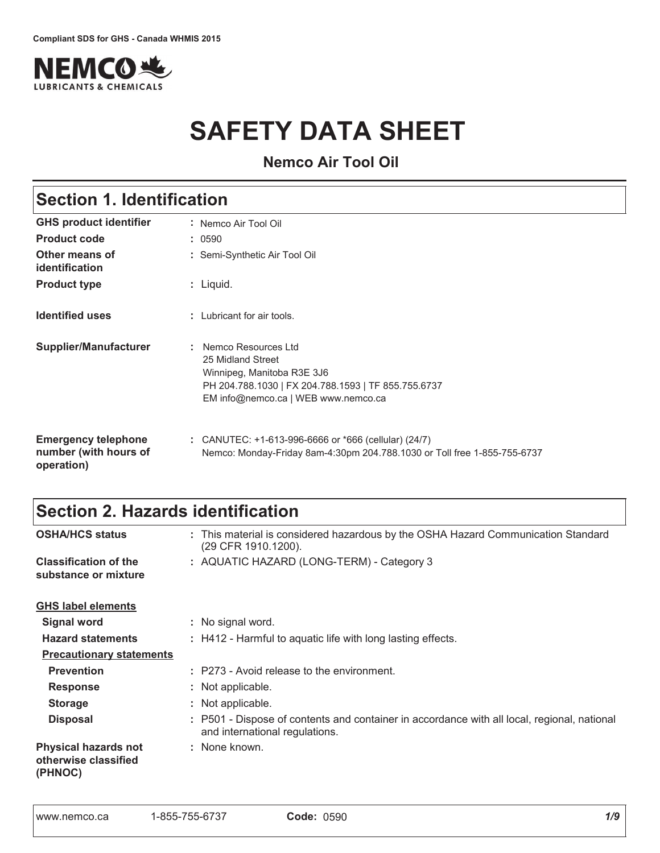

# **SAFETY DATA SHEET**

**Nemco Air Tool Oil**

| <b>Section 1. Identification</b>                                  |                                                                                                                                                                      |  |
|-------------------------------------------------------------------|----------------------------------------------------------------------------------------------------------------------------------------------------------------------|--|
| <b>GHS product identifier</b>                                     | : Nemco Air Tool Oil                                                                                                                                                 |  |
| <b>Product code</b>                                               | : 0590                                                                                                                                                               |  |
| Other means of<br>identification                                  | : Semi-Synthetic Air Tool Oil                                                                                                                                        |  |
| <b>Product type</b>                                               | : Liquid.                                                                                                                                                            |  |
| <b>Identified uses</b>                                            | : Lubricant for air tools.                                                                                                                                           |  |
| Supplier/Manufacturer                                             | Nemco Resources Ltd<br>25 Midland Street<br>Winnipeg, Manitoba R3E 3J6<br>PH 204.788.1030   FX 204.788.1593   TF 855.755.6737<br>EM info@nemco.ca   WEB www.nemco.ca |  |
| <b>Emergency telephone</b><br>number (with hours of<br>operation) | : CANUTEC: $+1-613-996-6666$ or $*666$ (cellular) (24/7)<br>Nemco: Monday-Friday 8am-4:30pm 204.788.1030 or Toll free 1-855-755-6737                                 |  |

# Section 2. Hazards identification

| <b>OSHA/HCS status</b>                                         | : This material is considered hazardous by the OSHA Hazard Communication Standard<br>(29 CFR 1910.1200).                      |
|----------------------------------------------------------------|-------------------------------------------------------------------------------------------------------------------------------|
| <b>Classification of the</b><br>substance or mixture           | : AQUATIC HAZARD (LONG-TERM) - Category 3                                                                                     |
| <b>GHS label elements</b>                                      |                                                                                                                               |
| <b>Signal word</b>                                             | : No signal word.                                                                                                             |
| <b>Hazard statements</b>                                       | : H412 - Harmful to aquatic life with long lasting effects.                                                                   |
| <b>Precautionary statements</b>                                |                                                                                                                               |
| <b>Prevention</b>                                              | : P273 - Avoid release to the environment.                                                                                    |
| <b>Response</b>                                                | : Not applicable.                                                                                                             |
| <b>Storage</b>                                                 | : Not applicable.                                                                                                             |
| <b>Disposal</b>                                                | : P501 - Dispose of contents and container in accordance with all local, regional, national<br>and international regulations. |
| <b>Physical hazards not</b><br>otherwise classified<br>(PHNOC) | : None known.                                                                                                                 |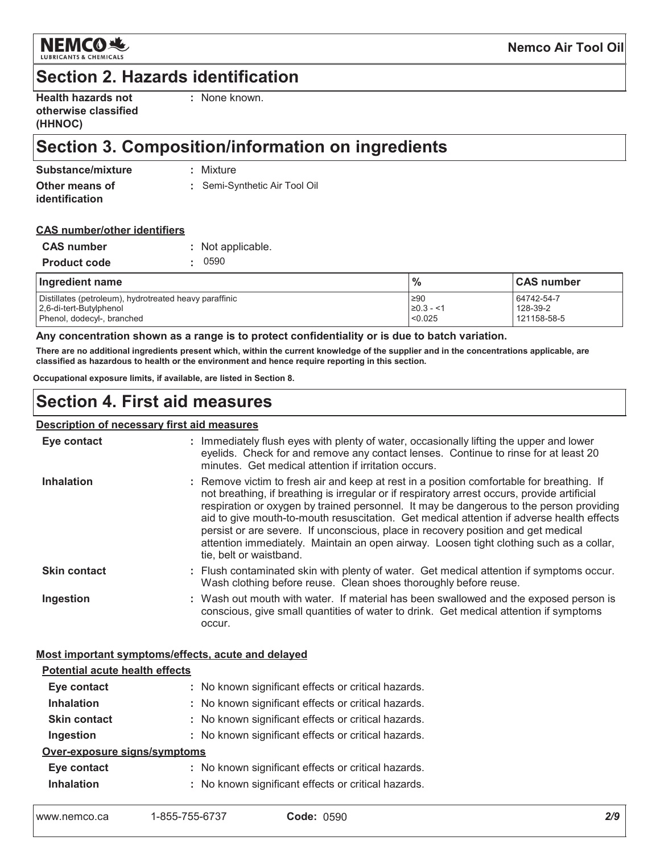

# **Section 2. Hazards identification**

| <b>Health hazards not</b> |  |
|---------------------------|--|
| otherwise classified      |  |
| (HHNOC)                   |  |

: None known.

# Section 3. Composition/information on ingredients

| Substance/mixture | : Mixture                     |
|-------------------|-------------------------------|
| Other means of    | : Semi-Synthetic Air Tool Oil |
| identification    |                               |

#### **CAS number/other identifiers**

| <b>CAS number</b>   | : Not applicable. |
|---------------------|-------------------|
| <b>Product code</b> | . 0590            |

| Ingredient name                                                                   | $\frac{0}{0}$           | <b>CAS number</b>      |
|-----------------------------------------------------------------------------------|-------------------------|------------------------|
| Distillates (petroleum), hydrotreated heavy paraffinic<br>2,6-di-tert-Butylphenol | .≥90<br>$\geq 0.3 - 11$ | 64742-54-7<br>128-39-2 |
| Phenol, dodecyl-, branched                                                        | < 0.025                 | 121158-58-5            |

#### Any concentration shown as a range is to protect confidentiality or is due to batch variation.

There are no additional ingredients present which, within the current knowledge of the supplier and in the concentrations applicable, are classified as hazardous to health or the environment and hence require reporting in this section.

Occupational exposure limits, if available, are listed in Section 8.

## **Section 4. First aid measures**

#### Description of necessary first aid measures

| Eye contact         | : Immediately flush eyes with plenty of water, occasionally lifting the upper and lower<br>eyelids. Check for and remove any contact lenses. Continue to rinse for at least 20<br>minutes. Get medical attention if irritation occurs.                                                                                                                                                                                                                                                                                                                                                       |
|---------------------|----------------------------------------------------------------------------------------------------------------------------------------------------------------------------------------------------------------------------------------------------------------------------------------------------------------------------------------------------------------------------------------------------------------------------------------------------------------------------------------------------------------------------------------------------------------------------------------------|
| <b>Inhalation</b>   | : Remove victim to fresh air and keep at rest in a position comfortable for breathing. If<br>not breathing, if breathing is irregular or if respiratory arrest occurs, provide artificial<br>respiration or oxygen by trained personnel. It may be dangerous to the person providing<br>aid to give mouth-to-mouth resuscitation. Get medical attention if adverse health effects<br>persist or are severe. If unconscious, place in recovery position and get medical<br>attention immediately. Maintain an open airway. Loosen tight clothing such as a collar,<br>tie, belt or waistband. |
| <b>Skin contact</b> | : Flush contaminated skin with plenty of water. Get medical attention if symptoms occur.<br>Wash clothing before reuse. Clean shoes thoroughly before reuse.                                                                                                                                                                                                                                                                                                                                                                                                                                 |
| Ingestion           | : Wash out mouth with water. If material has been swallowed and the exposed person is<br>conscious, give small quantities of water to drink. Get medical attention if symptoms<br>occur.                                                                                                                                                                                                                                                                                                                                                                                                     |

#### Most important symptoms/effects, acute and delayed

| <b>Potential acute health effects</b> |                                                     |
|---------------------------------------|-----------------------------------------------------|
| Eye contact                           | : No known significant effects or critical hazards. |
| <b>Inhalation</b>                     | : No known significant effects or critical hazards. |
| <b>Skin contact</b>                   | : No known significant effects or critical hazards. |
| Ingestion                             | : No known significant effects or critical hazards. |
| Over-exposure signs/symptoms          |                                                     |
| Eye contact                           | : No known significant effects or critical hazards. |
| <b>Inhalation</b>                     | : No known significant effects or critical hazards. |
|                                       |                                                     |

| www.nemco.ca | 1-855-755-6737 | <b>Code: 0590</b> |  |
|--------------|----------------|-------------------|--|
|              |                |                   |  |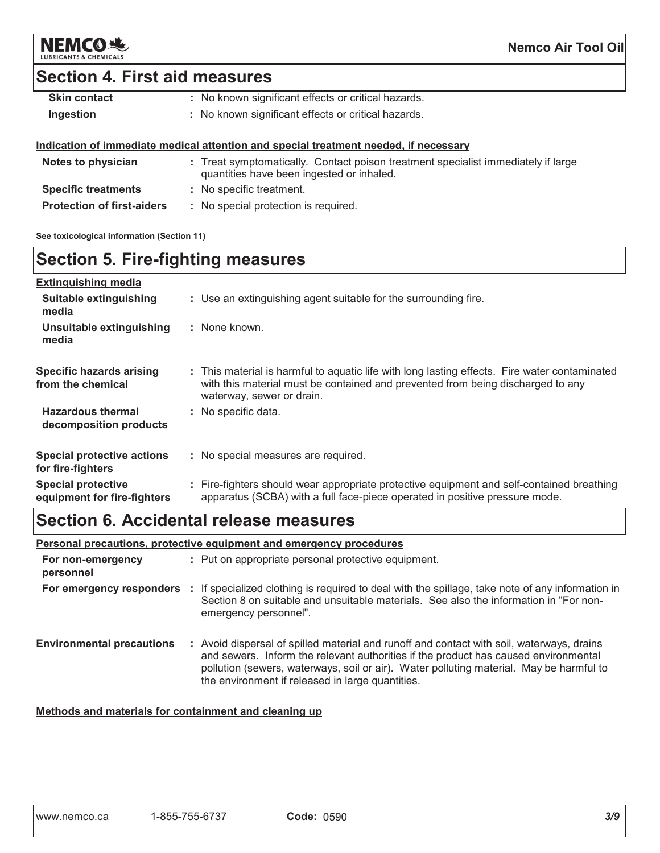

# **Section 4. First aid measures**

| <b>Skin contact</b> | : No known significant effects or critical hazards. |
|---------------------|-----------------------------------------------------|
| Ingestion           | : No known significant effects or critical hazards. |

#### Indication of immediate medical attention and special treatment needed, if necessary

| Notes to physician                | : Treat symptomatically. Contact poison treatment specialist immediately if large<br>quantities have been ingested or inhaled. |
|-----------------------------------|--------------------------------------------------------------------------------------------------------------------------------|
| <b>Specific treatments</b>        | : No specific treatment.                                                                                                       |
| <b>Protection of first-aiders</b> | : No special protection is required.                                                                                           |

See toxicological information (Section 11)

# **Section 5. Fire-fighting measures**

| <b>Extinguishing media</b>                               |                                                                                                                                                                                                               |
|----------------------------------------------------------|---------------------------------------------------------------------------------------------------------------------------------------------------------------------------------------------------------------|
| Suitable extinguishing<br>media                          | : Use an extinguishing agent suitable for the surrounding fire.                                                                                                                                               |
| Unsuitable extinguishing<br>media                        | : None known.                                                                                                                                                                                                 |
| Specific hazards arising<br>from the chemical            | : This material is harmful to aquatic life with long lasting effects. Fire water contaminated<br>with this material must be contained and prevented from being discharged to any<br>waterway, sewer or drain. |
| <b>Hazardous thermal</b><br>decomposition products       | : No specific data.                                                                                                                                                                                           |
| <b>Special protective actions</b><br>for fire-fighters   | : No special measures are required.                                                                                                                                                                           |
| <b>Special protective</b><br>equipment for fire-fighters | : Fire-fighters should wear appropriate protective equipment and self-contained breathing<br>apparatus (SCBA) with a full face-piece operated in positive pressure mode.                                      |

# Section 6. Accidental release measures

#### Personal precautions, protective equipment and emergency procedures

| For non-emergency<br>personnel   | : Put on appropriate personal protective equipment.                                                                                                                                                                                                                                                                             |
|----------------------------------|---------------------------------------------------------------------------------------------------------------------------------------------------------------------------------------------------------------------------------------------------------------------------------------------------------------------------------|
|                                  | For emergency responders : If specialized clothing is required to deal with the spillage, take note of any information in<br>Section 8 on suitable and unsuitable materials. See also the information in "For non-<br>emergency personnel".                                                                                     |
| <b>Environmental precautions</b> | : Avoid dispersal of spilled material and runoff and contact with soil, waterways, drains<br>and sewers. Inform the relevant authorities if the product has caused environmental<br>pollution (sewers, waterways, soil or air). Water polluting material. May be harmful to<br>the environment if released in large quantities. |

### Methods and materials for containment and cleaning up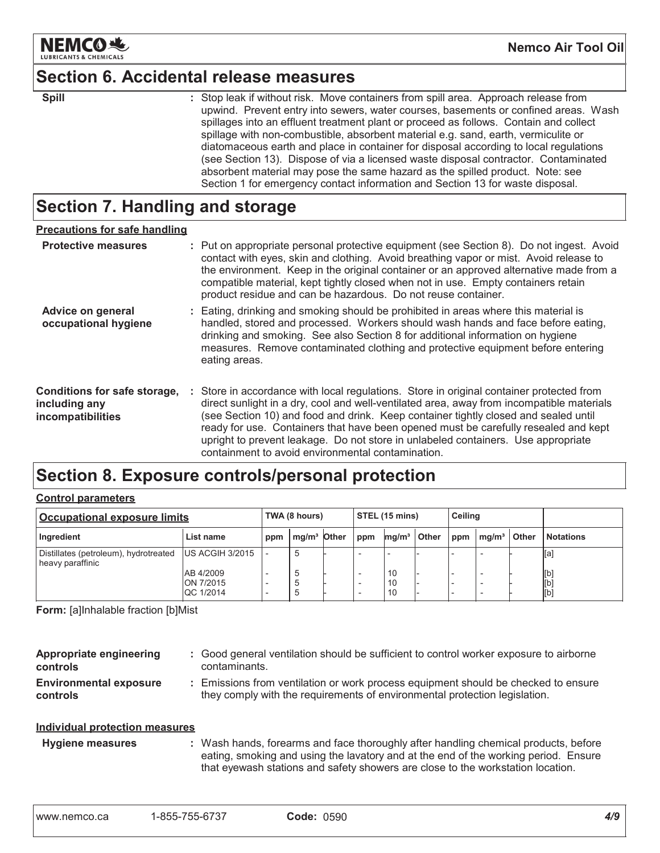

### **Section 6. Accidental release measures**

| ×<br>۰. | ۰. |  |  |
|---------|----|--|--|

: Stop leak if without risk. Move containers from spill area. Approach release from upwind. Prevent entry into sewers, water courses, basements or confined areas. Wash spillages into an effluent treatment plant or proceed as follows. Contain and collect spillage with non-combustible, absorbent material e.g. sand, earth, vermiculite or diatomaceous earth and place in container for disposal according to local regulations (see Section 13). Dispose of via a licensed waste disposal contractor. Contaminated absorbent material may pose the same hazard as the spilled product. Note: see Section 1 for emergency contact information and Section 13 for waste disposal.

## Section 7. Handling and storage

| <b>Precautions for safe handling</b>                               |                                                                                                                                                                                                                                                                                                                                                                                                                                                                                                               |
|--------------------------------------------------------------------|---------------------------------------------------------------------------------------------------------------------------------------------------------------------------------------------------------------------------------------------------------------------------------------------------------------------------------------------------------------------------------------------------------------------------------------------------------------------------------------------------------------|
| <b>Protective measures</b>                                         | : Put on appropriate personal protective equipment (see Section 8). Do not ingest. Avoid<br>contact with eyes, skin and clothing. Avoid breathing vapor or mist. Avoid release to<br>the environment. Keep in the original container or an approved alternative made from a<br>compatible material, kept tightly closed when not in use. Empty containers retain<br>product residue and can be hazardous. Do not reuse container.                                                                             |
| Advice on general<br>occupational hygiene                          | : Eating, drinking and smoking should be prohibited in areas where this material is<br>handled, stored and processed. Workers should wash hands and face before eating,<br>drinking and smoking. See also Section 8 for additional information on hygiene<br>measures. Remove contaminated clothing and protective equipment before entering<br>eating areas.                                                                                                                                                 |
| Conditions for safe storage,<br>including any<br>incompatibilities | : Store in accordance with local regulations. Store in original container protected from<br>direct sunlight in a dry, cool and well-ventilated area, away from incompatible materials<br>(see Section 10) and food and drink. Keep container tightly closed and sealed until<br>ready for use. Containers that have been opened must be carefully resealed and kept<br>upright to prevent leakage. Do not store in unlabeled containers. Use appropriate<br>containment to avoid environmental contamination. |

# Section 8. Exposure controls/personal protection

#### **Control parameters**

| Occupational exposure limits                              |                                     |     | TWA (8 hours)           |  | STEL (15 mins) |                   | <b>Ceiling</b> |     |                   |       |                   |
|-----------------------------------------------------------|-------------------------------------|-----|-------------------------|--|----------------|-------------------|----------------|-----|-------------------|-------|-------------------|
| Ingredient                                                | List name                           | ppm | mg/m <sup>3</sup> Other |  | $1$ ppm        | mq/m <sup>3</sup> | <b>Other</b>   | ppm | mq/m <sup>3</sup> | Other | <b>Notations</b>  |
| Distillates (petroleum), hydrotreated<br>heavy paraffinic | <b>US ACGIH 3/2015</b>              |     | .5                      |  |                |                   |                |     |                   |       | [a]               |
|                                                           | AB 4/2009<br>ON 7/2015<br>QC 1/2014 |     |                         |  |                | 10<br>10<br>10    |                |     |                   |       | [b]<br>[b]<br>[b] |

Form: [a]Inhalable fraction [b]Mist

| Appropriate engineering<br>controls       | : Good general ventilation should be sufficient to control worker exposure to airborne<br>contaminants.                                                          |
|-------------------------------------------|------------------------------------------------------------------------------------------------------------------------------------------------------------------|
| <b>Environmental exposure</b><br>controls | : Emissions from ventilation or work process equipment should be checked to ensure<br>they comply with the requirements of environmental protection legislation. |
| Individual protection measures            |                                                                                                                                                                  |

: Wash hands, forearms and face thoroughly after handling chemical products, before **Hygiene measures** eating, smoking and using the lavatory and at the end of the working period. Ensure that eyewash stations and safety showers are close to the workstation location.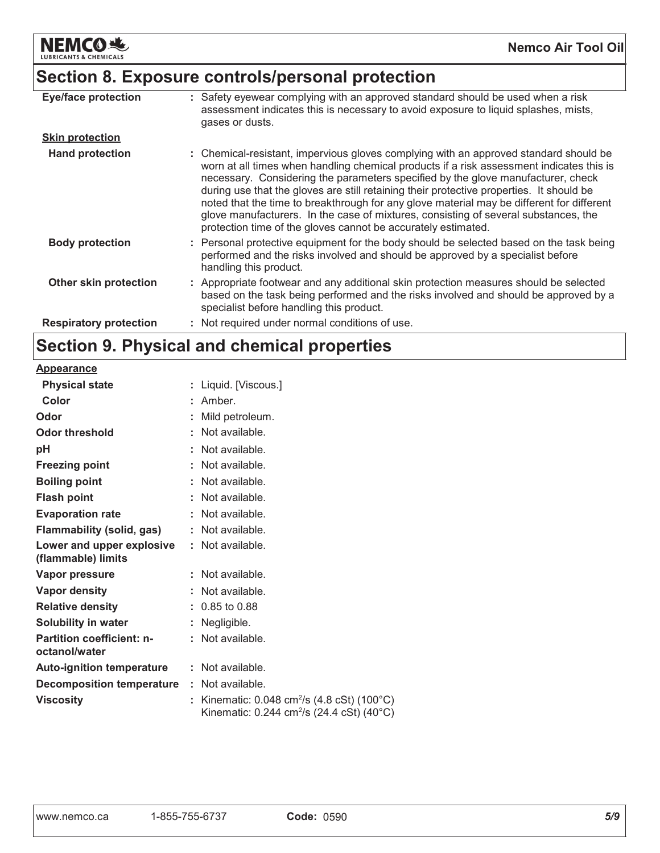

# Section 8. Exposure controls/personal protection

| <b>Eye/face protection</b>    | : Safety eyewear complying with an approved standard should be used when a risk<br>assessment indicates this is necessary to avoid exposure to liquid splashes, mists,<br>gases or dusts.                                                                                                                                                                                                                                                                                                                                                                                                                              |
|-------------------------------|------------------------------------------------------------------------------------------------------------------------------------------------------------------------------------------------------------------------------------------------------------------------------------------------------------------------------------------------------------------------------------------------------------------------------------------------------------------------------------------------------------------------------------------------------------------------------------------------------------------------|
| <b>Skin protection</b>        |                                                                                                                                                                                                                                                                                                                                                                                                                                                                                                                                                                                                                        |
| <b>Hand protection</b>        | : Chemical-resistant, impervious gloves complying with an approved standard should be<br>worn at all times when handling chemical products if a risk assessment indicates this is<br>necessary. Considering the parameters specified by the glove manufacturer, check<br>during use that the gloves are still retaining their protective properties. It should be<br>noted that the time to breakthrough for any glove material may be different for different<br>glove manufacturers. In the case of mixtures, consisting of several substances, the<br>protection time of the gloves cannot be accurately estimated. |
| <b>Body protection</b>        | : Personal protective equipment for the body should be selected based on the task being<br>performed and the risks involved and should be approved by a specialist before<br>handling this product.                                                                                                                                                                                                                                                                                                                                                                                                                    |
| Other skin protection         | : Appropriate footwear and any additional skin protection measures should be selected<br>based on the task being performed and the risks involved and should be approved by a<br>specialist before handling this product.                                                                                                                                                                                                                                                                                                                                                                                              |
| <b>Respiratory protection</b> | : Not required under normal conditions of use.                                                                                                                                                                                                                                                                                                                                                                                                                                                                                                                                                                         |

# Section 9. Physical and chemical properties

| <b>Appearance</b>                                 |   |                                                                                                                     |
|---------------------------------------------------|---|---------------------------------------------------------------------------------------------------------------------|
| <b>Physical state</b>                             | t | Liquid. [Viscous.]                                                                                                  |
| Color                                             |   | Amber.                                                                                                              |
| Odor                                              |   | Mild petroleum.                                                                                                     |
| <b>Odor threshold</b>                             |   | Not available.                                                                                                      |
| рH                                                |   | Not available.                                                                                                      |
| <b>Freezing point</b>                             |   | Not available.                                                                                                      |
| <b>Boiling point</b>                              |   | Not available.                                                                                                      |
| <b>Flash point</b>                                |   | $:$ Not available.                                                                                                  |
| <b>Evaporation rate</b>                           |   | Not available.                                                                                                      |
| Flammability (solid, gas)                         |   | Not available.                                                                                                      |
| Lower and upper explosive<br>(flammable) limits   |   | : Not available.                                                                                                    |
| <b>Vapor pressure</b>                             |   | Not available.                                                                                                      |
| <b>Vapor density</b>                              |   | Not available.                                                                                                      |
| <b>Relative density</b>                           |   | $: 0.85$ to 0.88                                                                                                    |
| Solubility in water                               |   | Negligible.                                                                                                         |
| <b>Partition coefficient: n-</b><br>octanol/water |   | Not available.                                                                                                      |
| <b>Auto-ignition temperature</b>                  |   | $:$ Not available.                                                                                                  |
| <b>Decomposition temperature</b>                  |   | : Not available.                                                                                                    |
| <b>Viscosity</b>                                  | t | Kinematic: $0.048 \text{ cm}^2/\text{s}$ (4.8 cSt) (100°C)<br>Kinematic: 0.244 cm <sup>2</sup> /s (24.4 cSt) (40°C) |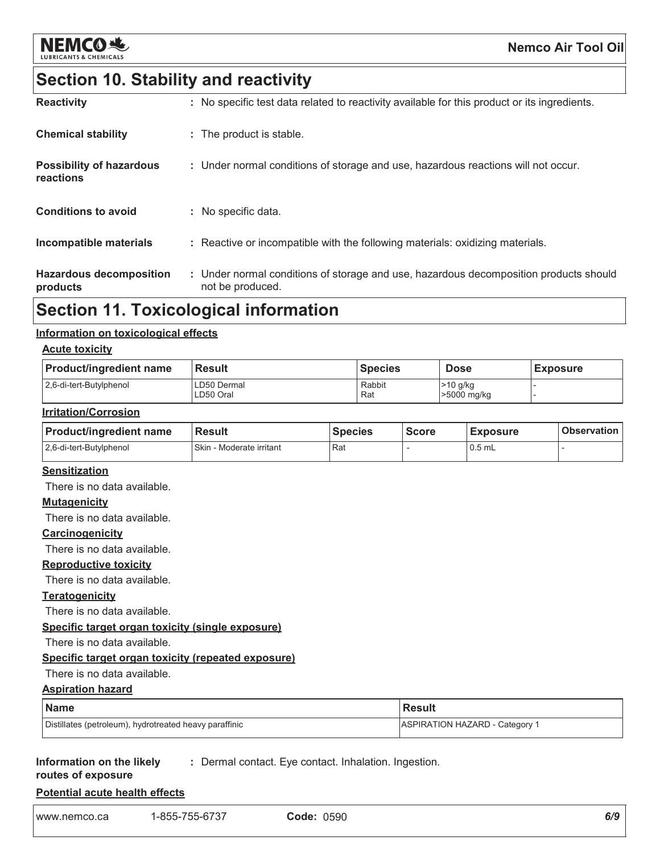

# Section 10. Stability and reactivity

| <b>Hazardous decomposition</b><br>products   | : Under normal conditions of storage and use, hazardous decomposition products should<br>not be produced. |
|----------------------------------------------|-----------------------------------------------------------------------------------------------------------|
| Incompatible materials                       | : Reactive or incompatible with the following materials: oxidizing materials.                             |
| <b>Conditions to avoid</b>                   | : No specific data.                                                                                       |
| <b>Possibility of hazardous</b><br>reactions | : Under normal conditions of storage and use, hazardous reactions will not occur.                         |
| <b>Chemical stability</b>                    | : The product is stable.                                                                                  |
| <b>Reactivity</b>                            | : No specific test data related to reactivity available for this product or its ingredients.              |

# **Section 11. Toxicological information**

#### Information on toxicological effects

#### **Acute toxicity**

| <b>Product/ingredient name</b> | l Result                 | <b>Species</b> | <b>Dose</b>             | <b>Exposure</b> |
|--------------------------------|--------------------------|----------------|-------------------------|-----------------|
| 2.6-di-tert-Butylphenol        | LD50 Dermal<br>LD50 Oral | Rabbit<br>Rat  | >10 g/kg<br>>5000 mg/kg |                 |

#### **Irritation/Corrosion**

| <b>Product/ingredient name</b> | <b>Result</b>            | <b>Species</b> | <b>Score</b> | <b>Exposure</b> | <b>Observation</b> |
|--------------------------------|--------------------------|----------------|--------------|-----------------|--------------------|
| 2.6-di-tert-Butylphenol        | Skin - Moderate irritant | l Rat          |              | $0.5$ mL        |                    |

### **Sensitization**

There is no data available.

#### **Mutagenicity**

There is no data available.

#### Carcinogenicity

There is no data available.

#### **Reproductive toxicity**

There is no data available.

#### **Teratogenicity**

There is no data available.

#### Specific target organ toxicity (single exposure)

There is no data available.

### Specific target organ toxicity (repeated exposure)

#### There is no data available.

#### **Name Result ASPIRATION HAZARD - Category 1** Distillates (petroleum), hydrotreated heavy paraffinic

#### Information on the likely : Dermal contact. Eye contact. Inhalation. Ingestion.

routes of exposure

**Aspiration hazard** 

**Potential acute health effects**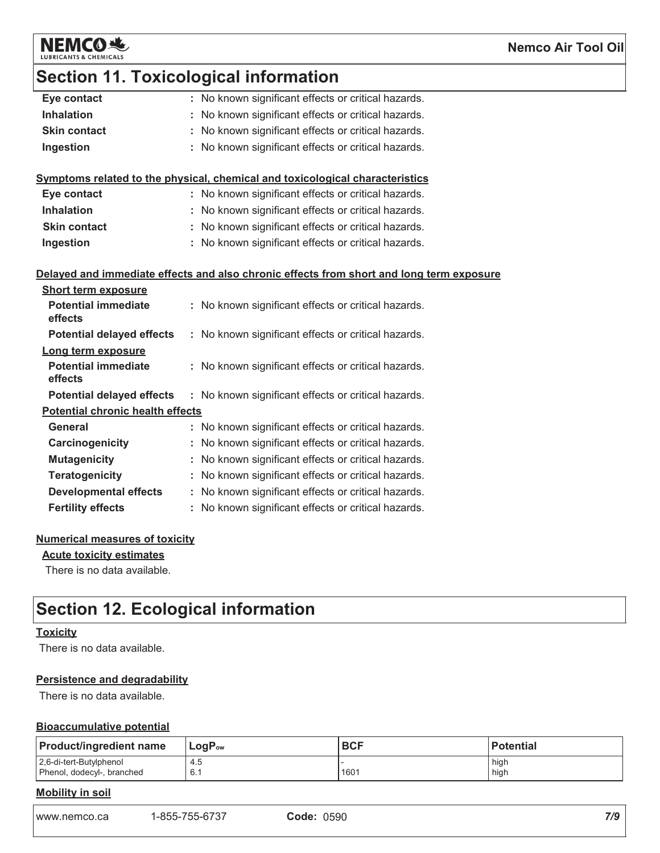

# **Section 11. Toxicological information**

| Eye contact                             |    | : No known significant effects or critical hazards.                                      |
|-----------------------------------------|----|------------------------------------------------------------------------------------------|
| <b>Inhalation</b>                       |    | : No known significant effects or critical hazards.                                      |
| <b>Skin contact</b>                     | t. | No known significant effects or critical hazards.                                        |
| Ingestion                               |    | : No known significant effects or critical hazards.                                      |
|                                         |    |                                                                                          |
|                                         |    | Symptoms related to the physical, chemical and toxicological characteristics             |
| Eye contact                             |    | : No known significant effects or critical hazards.                                      |
| <b>Inhalation</b>                       |    | : No known significant effects or critical hazards.                                      |
| <b>Skin contact</b>                     |    | : No known significant effects or critical hazards.                                      |
| Ingestion                               |    | : No known significant effects or critical hazards.                                      |
|                                         |    |                                                                                          |
|                                         |    | Delayed and immediate effects and also chronic effects from short and long term exposure |
| <b>Short term exposure</b>              |    |                                                                                          |
| <b>Potential immediate</b><br>effects   |    | : No known significant effects or critical hazards.                                      |
| <b>Potential delayed effects</b>        |    | : No known significant effects or critical hazards.                                      |
| Long term exposure                      |    |                                                                                          |
| <b>Potential immediate</b><br>effects   |    | : No known significant effects or critical hazards.                                      |
| <b>Potential delayed effects</b>        |    | : No known significant effects or critical hazards.                                      |
| <b>Potential chronic health effects</b> |    |                                                                                          |
| <b>General</b>                          |    | : No known significant effects or critical hazards.                                      |
| Carcinogenicity                         |    | : No known significant effects or critical hazards.                                      |
| <b>Mutagenicity</b>                     |    | No known significant effects or critical hazards.                                        |
| <b>Teratogenicity</b>                   |    | : No known significant effects or critical hazards.                                      |
| <b>Developmental effects</b>            |    | : No known significant effects or critical hazards.                                      |
| <b>Fertility effects</b>                |    | : No known significant effects or critical hazards.                                      |
|                                         |    |                                                                                          |

### **Numerical measures of toxicity**

**Acute toxicity estimates** 

There is no data available.

# **Section 12. Ecological information**

#### **Toxicity**

There is no data available.

#### **Persistence and degradability**

There is no data available.

#### **Bioaccumulative potential**

| <b>Product/ingredient name</b>                        | $LogP_{ow}$ | <b>BCF</b> | <b>Potential</b> |  |  |  |  |
|-------------------------------------------------------|-------------|------------|------------------|--|--|--|--|
| 2,6-di-tert-Butylphenol<br>Phenol, dodecyl-, branched | 4.5<br>6.1  | 1601       | high<br>high     |  |  |  |  |
| あまっし けいしょうしょう こうし                                     |             |            |                  |  |  |  |  |

#### **Mobility in soil**

| 1-855-755-6737<br><b>Code: 0590</b> |
|-------------------------------------|
|                                     |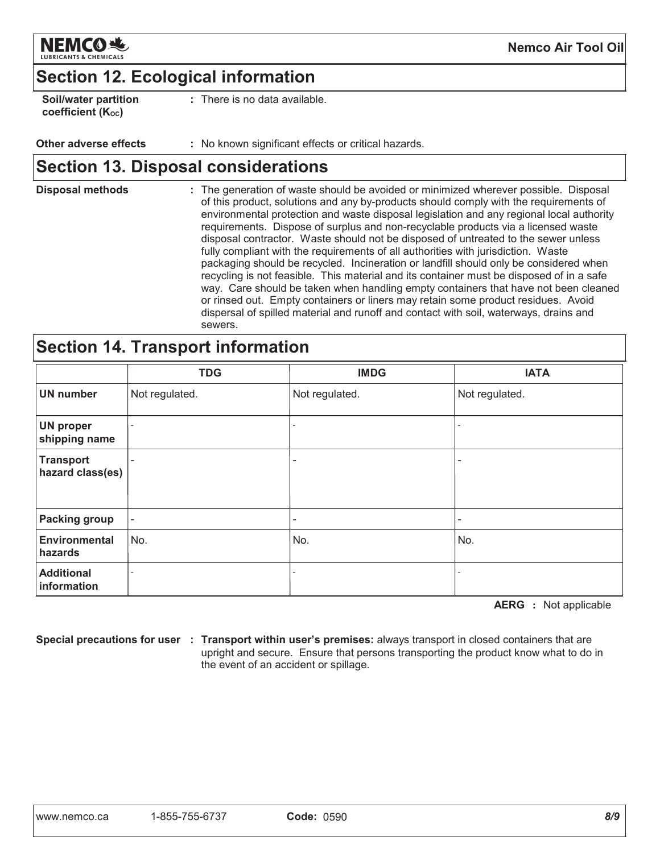

# **Section 12. Ecological information**

| Soil/water partition |  |
|----------------------|--|
| coefficient (Koc)    |  |

: There is no data available.

#### Other adverse effects : No known significant effects or critical hazards.

## **Section 13. Disposal considerations**

**Disposal methods** : The generation of waste should be avoided or minimized wherever possible. Disposal of this product, solutions and any by-products should comply with the requirements of environmental protection and waste disposal legislation and any regional local authority requirements. Dispose of surplus and non-recyclable products via a licensed waste disposal contractor. Waste should not be disposed of untreated to the sewer unless fully compliant with the requirements of all authorities with jurisdiction. Waste packaging should be recycled. Incineration or landfill should only be considered when recycling is not feasible. This material and its container must be disposed of in a safe way. Care should be taken when handling empty containers that have not been cleaned or rinsed out. Empty containers or liners may retain some product residues. Avoid dispersal of spilled material and runoff and contact with soil, waterways, drains and sewers.

### **Section 14. Transport information**

|                                      | <b>TDG</b>               | <b>IMDG</b>       | <b>IATA</b>    |
|--------------------------------------|--------------------------|-------------------|----------------|
| <b>UN number</b>                     | Not regulated.           | Not regulated.    | Not regulated. |
| <b>UN proper</b><br>shipping name    | $\overline{\phantom{a}}$ | $\qquad \qquad -$ |                |
| <b>Transport</b><br>hazard class(es) | $\overline{\phantom{a}}$ | ۰                 |                |
| <b>Packing group</b>                 | $\overline{\phantom{a}}$ | -                 |                |
| <b>Environmental</b><br>hazards      | No.                      | No.               | No.            |
| <b>Additional</b><br>information     |                          |                   |                |

**AERG** : Not applicable

Special precautions for user : Transport within user's premises: always transport in closed containers that are upright and secure. Ensure that persons transporting the product know what to do in the event of an accident or spillage.